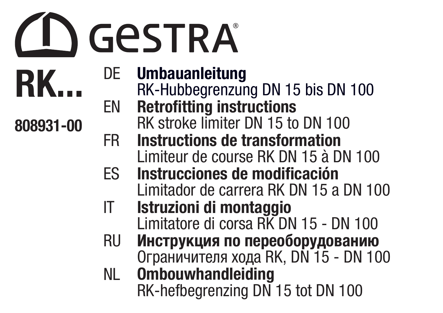

RK...

808931-00

DE Umbauanleitung RK-Hubbegrenzung DN 15 bis DN 100 EN Retrofitting instructions RK stroke limiter DN 15 to DN 100 FR Instructions de transformation Limiteur de course RK DN 15 à DN 100 ES Instrucciones de modificación Limitador de carrera RK DN 15 a DN 100 IT Istruzioni di montaggio Limitatore di corsa RK DN 15 - DN 100 RU Инструкция по переоборудованию Oграничителя хода RK, DN 15 - DN 100 NL Ombouwhandleiding RK-hefbegrenzing DN 15 tot DN 100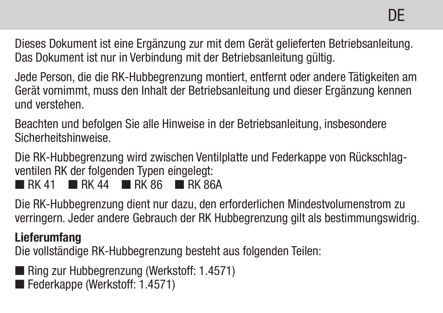Dieses Dokument ist eine Ergänzung zur mit dem Gerät gelieferten Betriebsanleitung. Das Dokument ist nur in Verbindung mit der Betriebsanleitung gültig.

Jede Person, die die RK-Hubbegrenzung montiert, entfernt oder andere Tätigkeiten am Gerät vornimmt, muss den Inhalt der Betriebsanleitung und dieser Ergänzung kennen und verstehen.

Beachten und befolgen Sie alle Hinweise in der Betriebsanleitung, insbesondere Sicherheitshinweise.

Die RK-Hubbegrenzung wird zwischen Ventilplatte und Federkappe von Rückschlagventilen RK der folgenden Typen eingelegt:

 $R$  RK 41 **R** RK 44 **R** RK 86 **R** RK 864

Die RK-Hubbegrenzung dient nur dazu, den erforderlichen Mindestvolumenstrom zu verringern. Jeder andere Gebrauch der RK Hubbegrenzung gilt als bestimmungswidrig.

#### Lieferumfang

Die vollständige RK-Hubbegrenzung besteht aus folgenden Teilen:

- Ring zur Hubbegrenzung (Werkstoff: 1.4571)
- Federkappe (Werkstoff: 1.4571)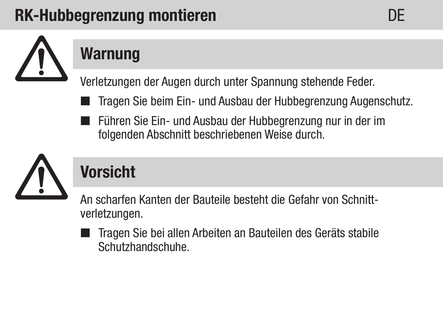## RK-Hubbegrenzung montieren DE



## Warnung

Verletzungen der Augen durch unter Spannung stehende Feder.

- Tragen Sie beim Ein- und Ausbau der Hubbegrenzung Augenschutz.
	- Führen Sie Ein- und Ausbau der Hubbegrenzung nur in der im folgenden Abschnitt beschriebenen Weise durch.



## Vorsicht

An scharfen Kanten der Bauteile besteht die Gefahr von Schnittverletzungen.

■ Tragen Sie bei allen Arbeiten an Bauteilen des Geräts stabile Schutzhandschuhe.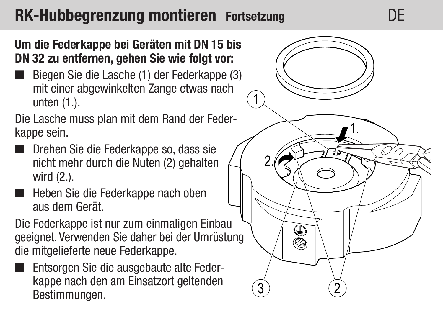### RK-Hubbegrenzung montieren Fortsetzung and DE

#### Um die Federkappe bei Geräten mit DN 15 bis DN 32 zu entfernen, gehen Sie wie folgt vor:

Biegen Sie die Lasche (1) der Federkanne (3) mit einer abgewinkelten Zange etwas nach unten (1.).

Die Lasche muss plan mit dem Rand der Federkappe sein.

- Drehen Sie die Federkappe so, dass sie nicht mehr durch die Nuten (2) gehalten wird (2.).
- Heben Sie die Federkappe nach oben aus dem Gerät.

Die Federkappe ist nur zum einmaligen Einbau geeignet. Verwenden Sie daher bei der Umrüstung die mitgelieferte neue Federkappe.

 Entsorgen Sie die ausgebaute alte Federkappe nach den am Einsatzort geltenden Bestimmungen.

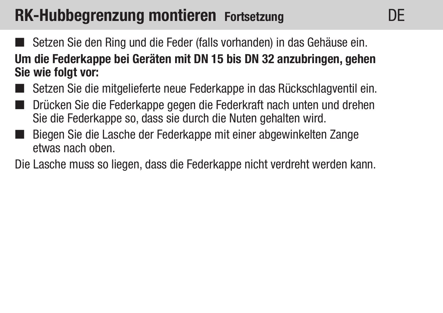### RK-Hubbegrenzung montieren Fortsetzung

- Setzen Sie den Ring und die Feder (falls vorhanden) in das Gehäuse ein. Um die Federkappe bei Geräten mit DN 15 bis DN 32 anzubringen, gehen Sie wie folgt vor:
- Setzen Sie die mitgelieferte neue Federkappe in das Rückschlagventil ein.
- Drücken Sie die Federkappe gegen die Federkraft nach unten und drehen Sie die Federkappe so, dass sie durch die Nuten gehalten wird.
- Biegen Sie die Lasche der Federkappe mit einer abgewinkelten Zange etwas nach oben.

Die Lasche muss so liegen, dass die Federkappe nicht verdreht werden kann.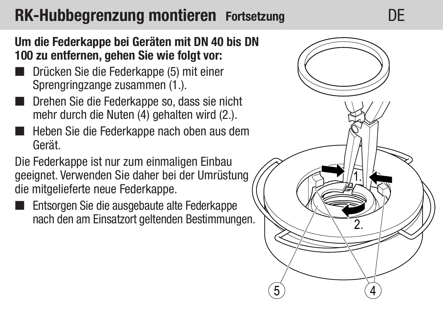### RK-Hubbegrenzung montieren Fortsetzung DE

Um die Federkappe bei Geräten mit DN 40 bis DN 100 zu entfernen, gehen Sie wie folgt vor:

- Drücken Sie die Federkappe (5) mit einer Sprengringzange zusammen (1.).
- Drehen Sie die Federkappe so, dass sie nicht mehr durch die Nuten (4) gehalten wird (2.).
- Heben Sie die Federkappe nach oben aus dem Gerät.

Die Federkappe ist nur zum einmaligen Einbau geeignet. Verwenden Sie daher bei der Umrüstung die mitgelieferte neue Federkappe.

Entsorgen Sie die ausgebaute alte Federkappe nach den am Einsatzort geltenden Bestimmungen.

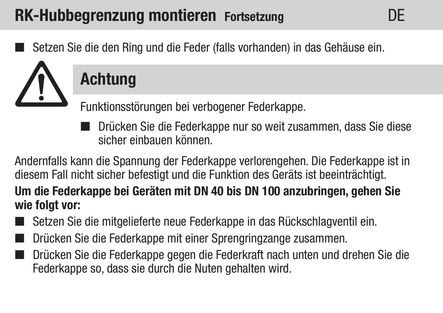### RK-Hubbegrenzung montieren Fortsetzung

Setzen Sie die den Ring und die Feder (falls vorhanden) in das Gehäuse ein.



## **Achtung**

Funktionsstörungen bei verbogener Federkappe.

■ Drücken Sie die Federkappe nur so weit zusammen, dass Sie diese sicher einbauen können.

Andernfalls kann die Spannung der Federkappe verlorengehen. Die Federkappe ist in diesem Fall nicht sicher befestigt und die Funktion des Geräts ist beeinträchtigt. Um die Federkappe bei Geräten mit DN 40 bis DN 100 anzubringen, gehen Sie wie folgt vor:

- Setzen Sie die mitgelieferte neue Federkappe in das Rückschlagventil ein.
- Drücken Sie die Federkappe mit einer Sprengringzange zusammen.
- Drücken Sie die Federkappe gegen die Federkraft nach unten und drehen Sie die Federkappe so, dass sie durch die Nuten gehalten wird.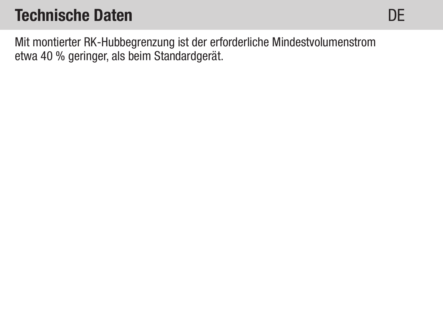Mit montierter RK-Hubbegrenzung ist der erforderliche Mindestvolumenstrom etwa 40 % geringer, als beim Standardgerät.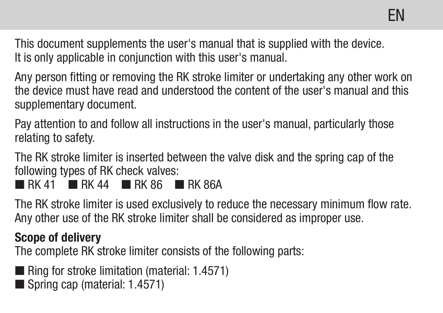This document supplements the user's manual that is supplied with the device. It is only applicable in conjunction with this user's manual.

Any person fitting or removing the RK stroke limiter or undertaking any other work on the device must have read and understood the content of the user's manual and this supplementary document.

Pay attention to and follow all instructions in the user's manual, particularly those relating to safety.

The RK stroke limiter is inserted between the valve disk and the spring cap of the following types of RK check valves:  $R$  RK 41 **R** RK 44 **R** RK 86 **R** RK 864

The RK stroke limiter is used exclusively to reduce the necessary minimum flow rate. Any other use of the RK stroke limiter shall be considered as improper use.

#### Scope of delivery

The complete RK stroke limiter consists of the following parts:

- Ring for stroke limitation (material: 1.4571)
- Spring cap (material: 1.4571)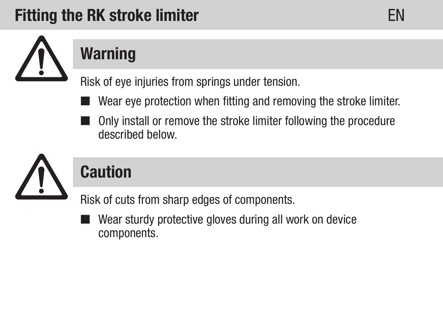### **Fitting the RK stroke limiter ENERGY CONSUMER STATE**



# **Warning**

Risk of eye injuries from springs under tension.

- Wear eye protection when fitting and removing the stroke limiter.
	- Only install or remove the stroke limiter following the procedure described below.



## Caution

Risk of cuts from sharp edges of components.

 Wear sturdy protective gloves during all work on device components.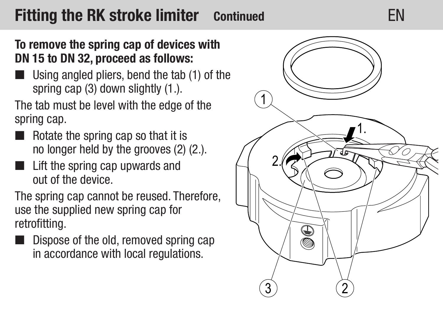### **Fitting the RK stroke limiter** Continued **EN**

#### To remove the spring cap of devices with DN 15 to DN 32, proceed as follows:

Using angled pliers, bend the tab (1) of the spring cap (3) down slightly (1.).

The tab must be level with the edge of the spring cap.

- Rotate the spring cap so that it is no longer held by the grooves (2) (2.).
- **Lift the spring cap upwards and** out of the device.

The spring cap cannot be reused. Therefore, use the supplied new spring cap for retrofitting.

Dispose of the old, removed spring cap in accordance with local regulations.

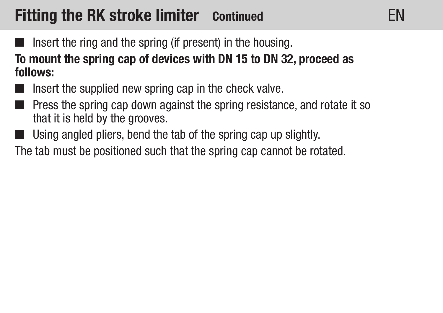### **Fitting the RK stroke limiter** Continued **EN**

 $\blacksquare$  Insert the ring and the spring (if present) in the housing.

To mount the spring cap of devices with DN 15 to DN 32, proceed as follows:

- $\blacksquare$  Insert the supplied new spring cap in the check valve.
- **Press the spring cap down against the spring resistance, and rotate it so** that it is held by the grooves.
- Using angled pliers, bend the tab of the spring cap up slightly.

The tab must be positioned such that the spring cap cannot be rotated.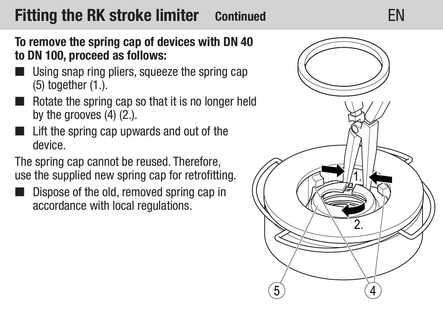### **Fitting the RK stroke limiter** Continued **EN**



#### To remove the spring cap of devices with DN 40 to DN 100, proceed as follows:

- Using snap ring pliers, squeeze the spring cap (5) together (1.).
- Rotate the spring cap so that it is no longer held by the grooves (4) (2.).
- Lift the spring cap upwards and out of the device.

The spring cap cannot be reused. Therefore, use the supplied new spring cap for retrofitting.

 Dispose of the old, removed spring cap in accordance with local regulations.

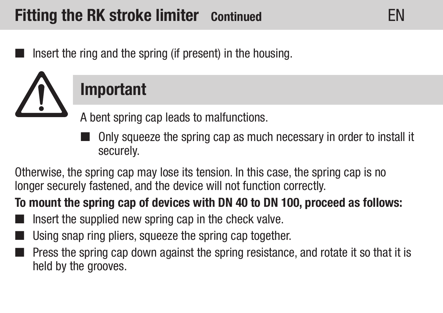Insert the ring and the spring (if present) in the housing.



## Important

A bent spring cap leads to malfunctions.

 Only squeeze the spring cap as much necessary in order to install it securely.

Otherwise, the spring cap may lose its tension. In this case, the spring cap is no longer securely fastened, and the device will not function correctly.

### To mount the spring cap of devices with DN 40 to DN 100, proceed as follows:

- Insert the supplied new spring cap in the check valve.
- Using snap ring pliers, squeeze the spring cap together.
- Press the spring cap down against the spring resistance, and rotate it so that it is held by the grooves.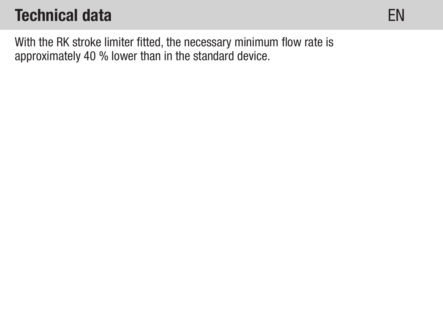EN

With the RK stroke limiter fitted, the necessary minimum flow rate is approximately 40 % lower than in the standard device.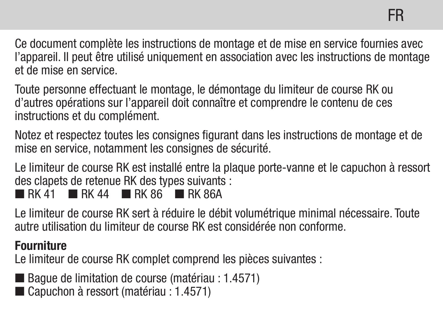Ce document complète les instructions de montage et de mise en service fournies avec l'appareil. Il peut être utilisé uniquement en association avec les instructions de montage et de mise en service.

Toute personne effectuant le montage, le démontage du limiteur de course RK ou d'autres opérations sur l'appareil doit connaître et comprendre le contenu de ces instructions et du complément.

Notez et respectez toutes les consignes figurant dans les instructions de montage et de mise en service, notamment les consignes de sécurité.

Le limiteur de course RK est installé entre la plaque porte-vanne et le capuchon à ressort des clapets de retenue RK des types suivants :

 $R$  RK 41 **R** RK 44 **R** RK 86 **R** RK 864

Le limiteur de course RK sert à réduire le débit volumétrique minimal nécessaire. Toute autre utilisation du limiteur de course RK est considérée non conforme.

#### Fourniture

Le limiteur de course RK complet comprend les pièces suivantes :

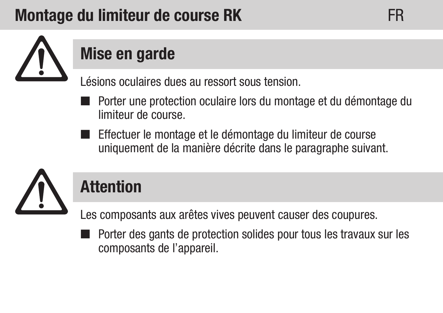## Montage du limiteur de course RK FR



## Mise en garde

Lésions oculaires dues au ressort sous tension.

- Porter une protection oculaire lors du montage et du démontage du limiteur de course.
- Effectuer le montage et le démontage du limiteur de course uniquement de la manière décrite dans le paragraphe suivant.



### **Attention**

Les composants aux arêtes vives peuvent causer des coupures.

 Porter des gants de protection solides pour tous les travaux sur les composants de l'appareil.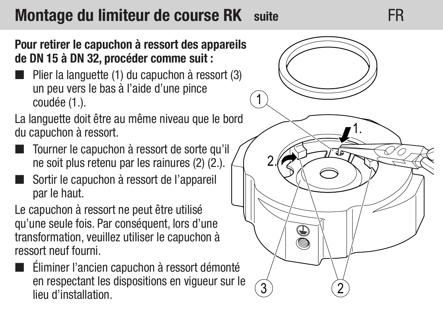### Montage du limiteur de course RK suite **FR**

#### Pour retirer le capuchon à ressort des appareils de DN 15 à DN 32, procéder comme suit :

Plier la languette (1) du capuchon à ressort (3) un peu vers le bas à l'aide d'une pince coudée (1.).

La languette doit être au même niveau que le bord du capuchon à ressort.

- Tourner le capuchon à ressort de sorte qu'il ne soit plus retenu par les rainures (2) (2.).
- Sortir le capuchon à ressort de l'appareil par le haut.

Le capuchon à ressort ne peut être utilisé qu'une seule fois. Par conséquent, lors d'une transformation, veuillez utiliser le capuchon à ressort neuf fourni.

 Éliminer l'ancien capuchon à ressort démonté en respectant les dispositions en vigueur sur le lieu d'installation.

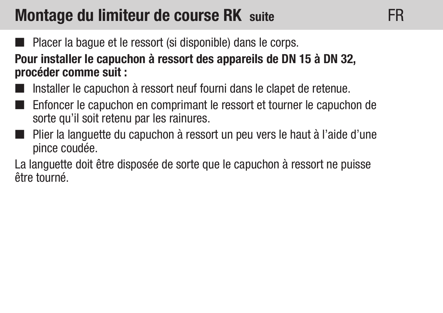### Montage du limiteur de course RK suite

Placer la bague et le ressort (si disponible) dans le corps.

Pour installer le capuchon à ressort des appareils de DN 15 à DN 32, procéder comme suit :

- Installer le capuchon à ressort neuf fourni dans le clapet de retenue.
- Enfoncer le capuchon en comprimant le ressort et tourner le capuchon de sorte qu'il soit retenu par les rainures.
- Plier la languette du capuchon à ressort un peu vers le haut à l'aide d'une pince coudée.

La languette doit être disposée de sorte que le capuchon à ressort ne puisse être tourné.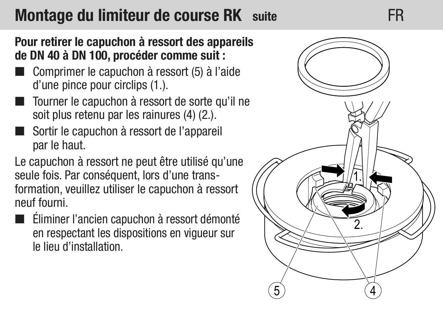### Montage du limiteur de course RK suite FR

Pour retirer le capuchon à ressort des appareils de DN 40 à DN 100, procéder comme suit :

- Comprimer le capuchon à ressort (5) à l'aide d'une pince pour circlips (1.).
- Tourner le capuchon à ressort de sorte qu'il ne soit plus retenu par les rainures (4) (2.).
- Sortir le capuchon à ressort de l'appareil par le haut.

Le capuchon à ressort ne peut être utilisé qu'une seule fois. Par conséquent, lors d'une transformation, veuillez utiliser le capuchon à ressort neuf fourni.

 Éliminer l'ancien capuchon à ressort démonté en respectant les dispositions en vigueur sur le lieu d'installation.

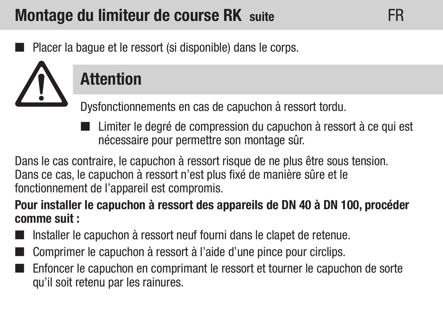### Montage du limiteur de course RK suite

Placer la bague et le ressort (si disponible) dans le corps.

## **Attention**

Dysfonctionnements en cas de capuchon à ressort tordu.

■ Limiter le degré de compression du capuchon à ressort à ce qui est nécessaire pour permettre son montage sûr.

FR

Dans le cas contraire, le capuchon à ressort risque de ne plus être sous tension. Dans ce cas, le capuchon à ressort n'est plus fixé de manière sûre et le fonctionnement de l'appareil est compromis.

#### Pour installer le capuchon à ressort des appareils de DN 40 à DN 100, procéder comme suit :

- Installer le capuchon à ressort neuf fourni dans le clapet de retenue.
- Comprimer le capuchon à ressort à l'aide d'une pince pour circlips.
- Enfoncer le capuchon en comprimant le ressort et tourner le capuchon de sorte qu'il soit retenu par les rainures.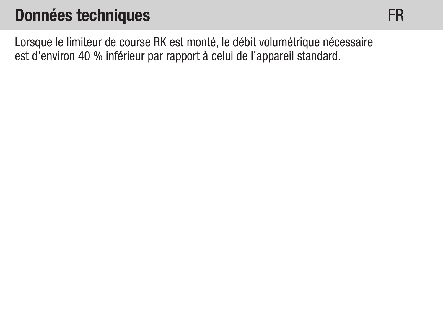### Données techniques

FR

Lorsque le limiteur de course RK est monté, le débit volumétrique nécessaire est d'environ 40 % inférieur par rapport à celui de l'appareil standard.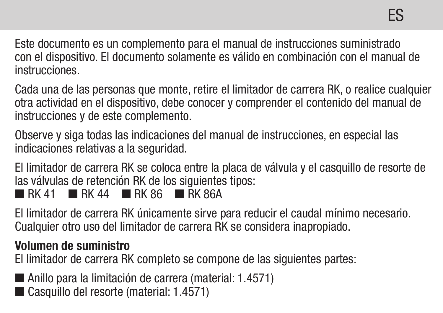Este documento es un complemento para el manual de instrucciones suministrado con el dispositivo. El documento solamente es válido en combinación con el manual de instrucciones.

Cada una de las personas que monte, retire el limitador de carrera RK, o realice cualquier otra actividad en el dispositivo, debe conocer y comprender el contenido del manual de instrucciones y de este complemento.

Observe y siga todas las indicaciones del manual de instrucciones, en especial las indicaciones relativas a la seguridad.

El limitador de carrera RK se coloca entre la placa de válvula y el casquillo de resorte de las válvulas de retención RK de los siguientes tipos:  $R$  RK 41 **R** RK 44 **R** RK 86 **R** RK 86A

El limitador de carrera RK únicamente sirve para reducir el caudal mínimo necesario. Cualquier otro uso del limitador de carrera RK se considera inapropiado.

#### Volumen de suministro

El limitador de carrera RK completo se compone de las siguientes partes:

Anillo para la limitación de carrera (material: 1.4571) Casquillo del resorte (material: 1.4571)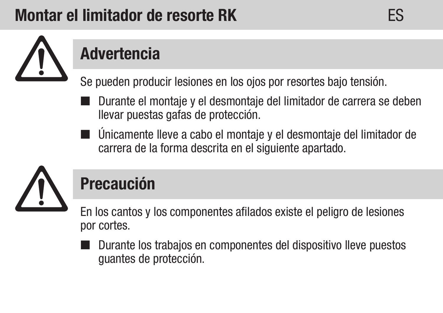## Montar el limitador de resorte RK ES



## Advertencia

Se pueden producir lesiones en los ojos por resortes bajo tensión.

- Durante el montaje y el desmontaje del limitador de carrera se deben llevar puestas gafas de protección.
- Únicamente lleve a cabo el montaje y el desmontaje del limitador de carrera de la forma descrita en el siguiente apartado.



## Precaución

En los cantos y los componentes afilados existe el peligro de lesiones por cortes.

 Durante los trabajos en componentes del dispositivo lleve puestos guantes de protección.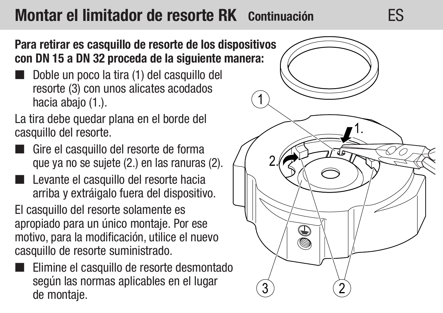### Montar el limitador de resorte RK Continuación ES



Para retirar es casquillo de resorte de los dispositivos con DN 15 a DN 32 proceda de la siguiente manera:

 Doble un poco la tira (1) del casquillo del resorte (3) con unos alicates acodados hacia abajo (1.).

La tira debe quedar plana en el borde del casquillo del resorte.

- Gire el casquillo del resorte de forma que ya no se sujete (2.) en las ranuras (2).
- Levante el casquillo del resorte hacia arriba y extráigalo fuera del dispositivo. El casquillo del resorte solamente es apropiado para un único montaje. Por ese motivo, para la modificación, utilice el nuevo casquillo de resorte suministrado.
- Elimine el casquillo de resorte desmontado según las normas aplicables en el lugar de montaje.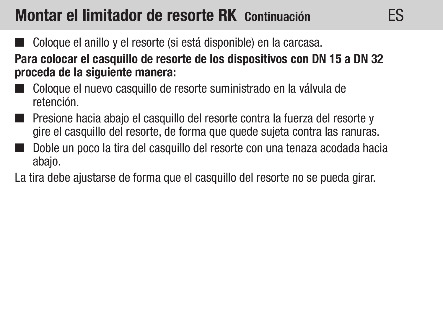### Montar el limitador de resorte RK Continuación

- Coloque el anillo y el resorte (si está disponible) en la carcasa. Para colocar el casquillo de resorte de los dispositivos con DN 15 a DN 32 proceda de la siguiente manera:
- Coloque el nuevo casquillo de resorte suministrado en la válvula de retención.
- Presione hacia abajo el casquillo del resorte contra la fuerza del resorte y gire el casquillo del resorte, de forma que quede sujeta contra las ranuras.
- Doble un poco la tira del casquillo del resorte con una tenaza acodada hacia abajo.
- La tira debe ajustarse de forma que el casquillo del resorte no se pueda girar.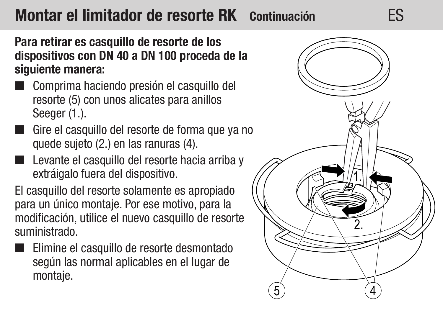### Montar el limitador de resorte RK Continuación ES

Para retirar es casquillo de resorte de los dispositivos con DN 40 a DN 100 proceda de la siguiente manera:

- Comprima haciendo presión el casquillo del resorte (5) con unos alicates para anillos Seeger (1.).
- Gire el casquillo del resorte de forma que ya no quede sujeto (2.) en las ranuras (4).
- Levante el casquillo del resorte hacia arriba y extráigalo fuera del dispositivo.

El casquillo del resorte solamente es apropiado para un único montaje. Por ese motivo, para la modificación, utilice el nuevo casquillo de resorte suministrado.

Elimine el casquillo de resorte desmontado según las normal aplicables en el lugar de montaje.

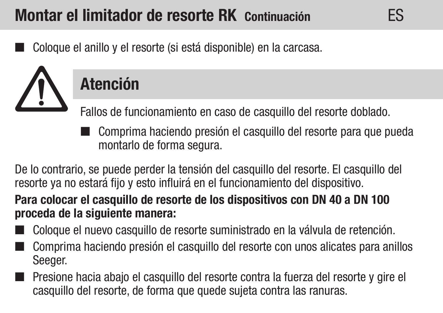## Montar el limitador de resorte RK Continuación

Coloque el anillo y el resorte (si está disponible) en la carcasa.



## Atención

Fallos de funcionamiento en caso de casquillo del resorte doblado.

■ Comprima haciendo presión el casquillo del resorte para que pueda montarlo de forma segura.

ES

De lo contrario, se puede perder la tensión del casquillo del resorte. El casquillo del resorte ya no estará fijo y esto influirá en el funcionamiento del dispositivo.

#### Para colocar el casquillo de resorte de los dispositivos con DN 40 a DN 100 proceda de la siguiente manera:

- Coloque el nuevo casquillo de resorte suministrado en la válvula de retención.
- Comprima haciendo presión el casquillo del resorte con unos alicates para anillos Seeger.
- Presione hacia abajo el casquillo del resorte contra la fuerza del resorte y gire el casquillo del resorte, de forma que quede sujeta contra las ranuras.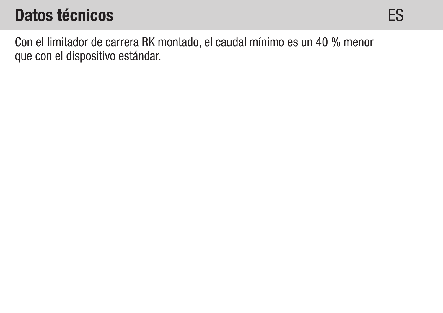### Datos técnicos

Con el limitador de carrera RK montado, el caudal mínimo es un 40 % menor que con el dispositivo estándar.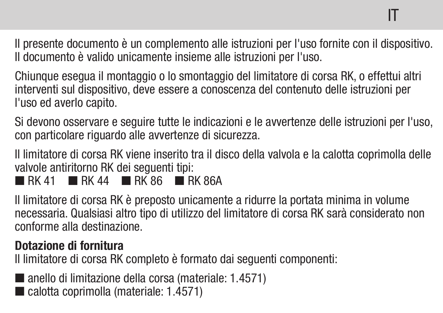Il presente documento è un complemento alle istruzioni per l'uso fornite con il dispositivo. Il documento è valido unicamente insieme alle istruzioni per l'uso.

Chiunque esegua il montaggio o lo smontaggio del limitatore di corsa RK, o effettui altri interventi sul dispositivo, deve essere a conoscenza del contenuto delle istruzioni per l'uso ed averlo capito.

Si devono osservare e seguire tutte le indicazioni e le avvertenze delle istruzioni per l'uso, con particolare riguardo alle avvertenze di sicurezza.

Il limitatore di corsa RK viene inserito tra il disco della valvola e la calotta coprimolla delle valvole antiritorno RK dei seguenti tipi:

 $R$ K 41 **RK 44 RK 86 RK 864** 

Il limitatore di corsa RK è preposto unicamente a ridurre la portata minima in volume necessaria. Qualsiasi altro tipo di utilizzo del limitatore di corsa RK sarà considerato non conforme alla destinazione.

#### Dotazione di fornitura

Il limitatore di corsa RK completo è formato dai seguenti componenti:

anello di limitazione della corsa (materiale: 1.4571) calotta coprimolla (materiale: 1.4571)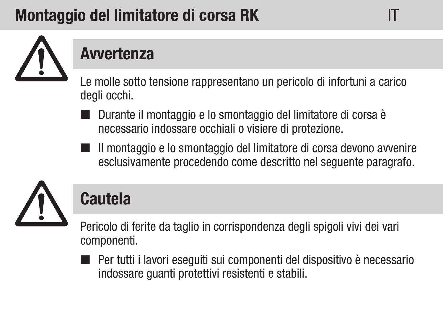## Montaggio del limitatore di corsa RK



### Avvertenza

Le molle sotto tensione rappresentano un pericolo di infortuni a carico degli occhi.

- Durante il montaggio e lo smontaggio del limitatore di corsa è necessario indossare occhiali o visiere di protezione.
- Il montaggio e lo smontaggio del limitatore di corsa devono avvenire esclusivamente procedendo come descritto nel seguente paragrafo.



## Cautela

Pericolo di ferite da taglio in corrispondenza degli spigoli vivi dei vari componenti.

■ Per tutti i lavori eseguiti sui componenti del dispositivo è necessario indossare guanti protettivi resistenti e stabili.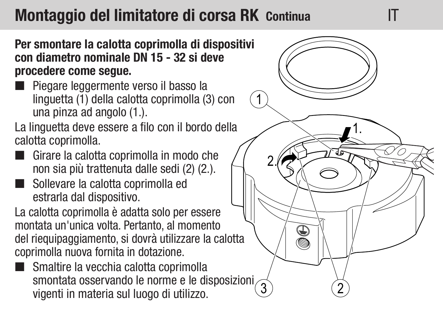### Montaggio del limitatore di corsa RK Continua **IT**

Per smontare la calotta coprimolla di dispositivi con diametro nominale DN 15 - 32 si deve procedere come segue.

 Piegare leggermente verso il basso la linguetta (1) della calotta coprimolla (3) con una pinza ad angolo (1.).

La linguetta deve essere a filo con il bordo della calotta coprimolla.

- Girare la calotta coprimolla in modo che non sia più trattenuta dalle sedi (2) (2.).
- Sollevare la calotta coprimolla ed estrarla dal dispositivo.

La calotta coprimolla è adatta solo per essere montata un'unica volta. Pertanto, al momento del riequipaggiamento, si dovrà utilizzare la calotta coprimolla nuova fornita in dotazione.

Smaltire la vecchia calotta coprimolla smontata osservando le norme e le disposizioni vigenti in materia sul luogo di utilizzo.

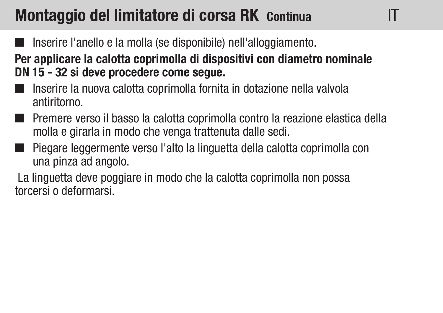### Montaggio del limitatore di corsa RK Continua

- Inserire l'anello e la molla (se disponibile) nell'alloggiamento.
- Per applicare la calotta coprimolla di dispositivi con diametro nominale DN 15 - 32 si deve procedere come segue.

IT

- Inserire la nuova calotta coprimolla fornita in dotazione nella valvola antiritorno.
- Premere verso il basso la calotta coprimolla contro la reazione elastica della molla e girarla in modo che venga trattenuta dalle sedi.
- Piegare leggermente verso l'alto la linguetta della calotta coprimolla con una pinza ad angolo.

 La linguetta deve poggiare in modo che la calotta coprimolla non possa torcersi o deformarsi.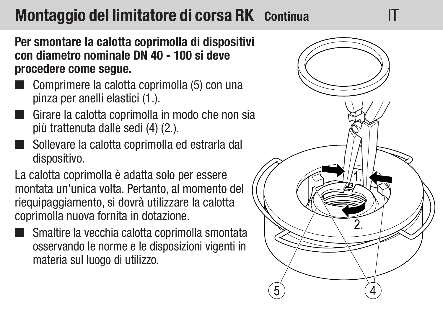### Montaggio del limitatore di corsa RK Continua

Per smontare la calotta coprimolla di dispositivi con diametro nominale DN 40 - 100 si deve procedere come segue.

- Comprimere la calotta coprimolla (5) con una pinza per anelli elastici (1.).
- Girare la calotta coprimolla in modo che non sia più trattenuta dalle sedi (4) (2.).
- Sollevare la calotta coprimolla ed estrarla dal dispositivo.

La calotta coprimolla è adatta solo per essere montata un'unica volta. Pertanto, al momento del riequipaggiamento, si dovrà utilizzare la calotta coprimolla nuova fornita in dotazione.

 Smaltire la vecchia calotta coprimolla smontata osservando le norme e le disposizioni vigenti in materia sul luogo di utilizzo.

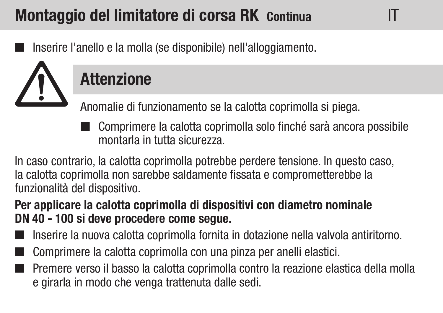## Montaggio del limitatore di corsa RK Continua

Inserire l'anello e la molla (se disponibile) nell'alloggiamento.



## **Attenzione**

Anomalie di funzionamento se la calotta coprimolla si piega.

■ Comprimere la calotta coprimolla solo finché sarà ancora possibile montarla in tutta sicurezza.

IT

In caso contrario, la calotta coprimolla potrebbe perdere tensione. In questo caso, la calotta coprimolla non sarebbe saldamente fissata e comprometterebbe la funzionalità del dispositivo.

### Per applicare la calotta coprimolla di dispositivi con diametro nominale DN 40 - 100 si deve procedere come segue.

- Inserire la nuova calotta coprimolla fornita in dotazione nella valvola antiritorno.
- Comprimere la calotta coprimolla con una pinza per anelli elastici.
- Premere verso il basso la calotta coprimolla contro la reazione elastica della molla e girarla in modo che venga trattenuta dalle sedi.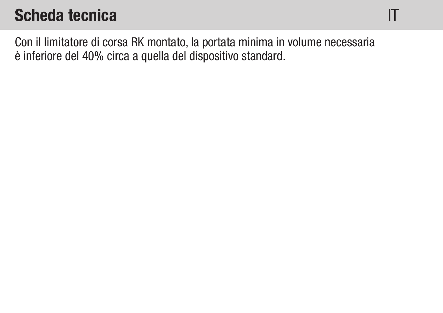### Scheda tecnica

Con il limitatore di corsa RK montato, la portata minima in volume necessaria è inferiore del 40% circa a quella del dispositivo standard.

IT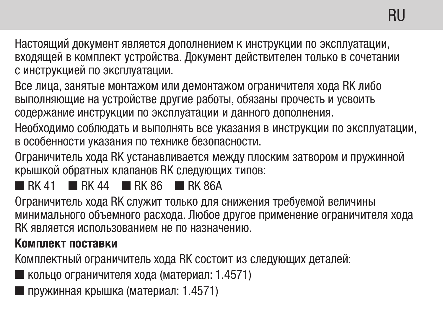Настоящий документ является дополнением к инструкции по эксплуатации, входящей в комплект устройства. Документ действителен только в сочетании с инструкцией по эксплуатации.

Все лица, занятые монтажом или демонтажом ограничителя хода RK либо выполняющие на устройстве другие работы, обязаны прочесть и усвоить содержание инструкции по эксплуатации и данного дополнения.

Необходимо соблюдать и выполнять все указания в инструкции по эксплуатации, в особенности указания по технике безопасности.

Ограничитель хода RK устанавливается между плоским затвором и пружинной крышкой обратных клапанов RK следующих типов:

#### $\blacksquare$ RK 41  $\blacksquare$ RK 44  $\blacksquare$ RK 86  $\blacksquare$ RK 86A

Ограничитель хода RK служит только для снижения требуемой величины минимального объемного расхода. Любое другое применение ограничителя хода RK является использованием не по назначению.

#### Комплект поставки

Комплектный ограничитель хода RK состоит из следующих деталей:

кольцо ограничителя хода (материал: 1.4571)

пружинная крышка (материал: 1.4571)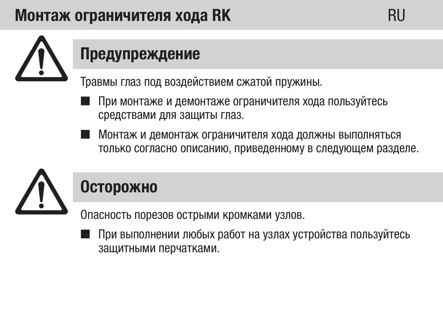### Монтаж ограничителя хода RK RU



## Предупреждение

Травмы глаз под воздействием сжатой пружины.

- При монтаже и демонтаже ограничителя хода пользуйтесь средствами для защиты глаз.
- Монтаж и демонтаж ограничителя хода должны выполняться только согласно описанию, приведенному в следующем разделе.



### Осторожно

Опасность порезов острыми кромками узлов.

 При выполнении любых работ на узлах устройства пользуйтесь защитными перчатками.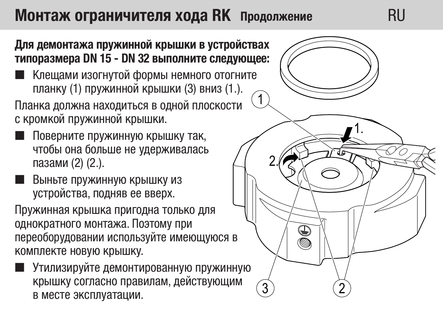### Монтаж ограничителя хода RK Продолжение RU

#### Для демонтажа пружинной крышки в устройствах типоразмера DN 15 - DN 32 выполните следующее:

 Клещами изогнутой формы немного отогните планку (1) пружинной крышки (3) вниз (1.).

Планка должна находиться в одной плоскости с кромкой пружинной крышки.

- Поверните пружинную крышку так, чтобы она больше не удерживалась пазами (2) (2.).
- Выньте пружинную крышку из устройства, подняв ее вверх.

Пружинная крышка пригодна только для однократного монтажа. Поэтому при переоборудовании используйте имеющуюся в комплекте новую крышку.

 Утилизируйте демонтированную пружинную крышку согласно правилам, действующим в месте эксплуатации.

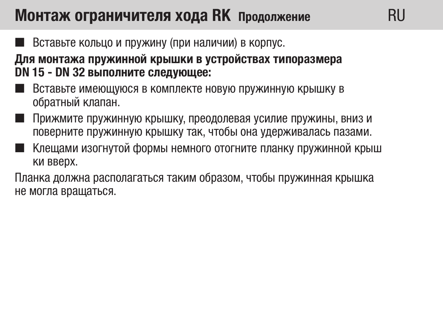### Монтаж ограничителя хода RK Продолжение

Вставьте кольцо и пружину (при наличии) в корпус.

Для монтажа пружинной крышки в устройствах типоразмера DN 15 - DN 32 выполните следующее:

- Вставьте имеющуюся в комплекте новую пружинную крышку в обратный клапан.
- Прижмите пружинную крышку, преодолевая усилие пружины, вниз и поверните пружинную крышку так, чтобы она удерживалась пазами.

**RII** 

 Клещами изогнутой формы немного отогните планку пружинной крыш ки вверх.

Планка должна располагаться таким образом, чтобы пружинная крышка не могла вращаться.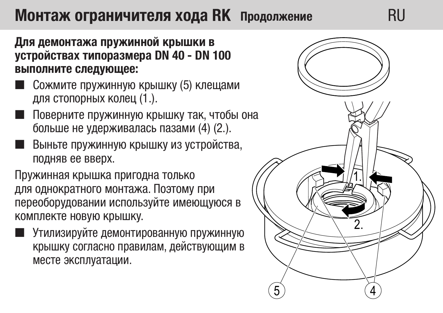### Монтаж ограничителя хода RK Продолжение RU

Для демонтажа пружинной крышки в устройствах типоразмера DN 40 - DN 100 выполните следующее:

- Сожмите пружинную крышку (5) клещами для стопорных колец (1.).
- Поверните пружинную крышку так, чтобы она больше не удерживалась пазами (4) (2.).
- Выньте пружинную крышку из устройства, подняв ее вверх.

Пружинная крышка пригодна только для однократного монтажа. Поэтому при переоборудовании используйте имеющуюся в комплекте новую крышку.

 Утилизируйте демонтированную пружинную крышку согласно правилам, действующим в месте эксплуатации.

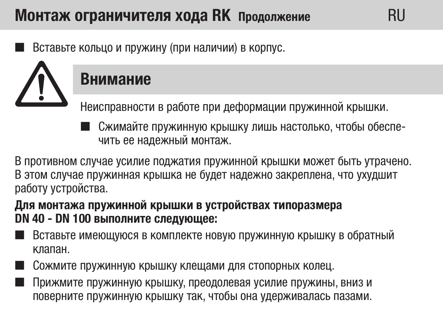### RU Монтаж ограничителя хода RK Продолжение

Вставьте кольцо и пружину (при наличии) в корпус.

### Внимание

Неисправности в работе при деформации пружинной крышки.

 Сжимайте пружинную крышку лишь настолько, чтобы обеспечить ее надежный монтаж.

**RII** 

В противном случае усилие поджатия пружинной крышки может быть утрачено. В этом случае пружинная крышка не будет надежно закреплена, что ухудшит работу устройства.

#### Для монтажа пружинной крышки в устройствах типоразмера DN 40 - DN 100 выполните следующее:

- Вставьте имеющуюся в комплекте новую пружинную крышку в обратный клапан.
- Сожмите пружинную крышку клещами для стопорных колец.
- Прижмите пружинную крышку, преодолевая усилие пружины, вниз и поверните пружинную крышку так, чтобы она удерживалась пазами.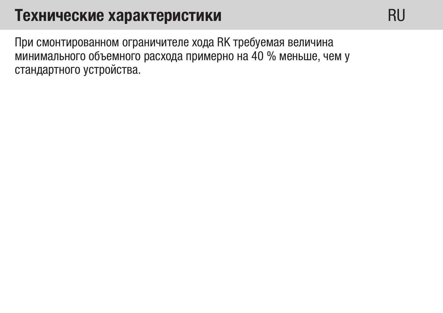### Технические характеристики

**RU** 

При смонтированном ограничителе хода RK требуемая величина минимального объемного расхода примерно на 40 % меньше, чем у стандартного устройства.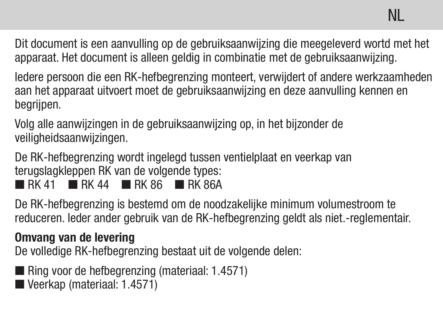Dit document is een aanvulling op de gebruiksaanwijzing die meegeleverd wortd met het apparaat. Het document is alleen geldig in combinatie met de gebruiksaanwijzing.

Iedere persoon die een RK-hefbegrenzing monteert, verwijdert of andere werkzaamheden aan het apparaat uitvoert moet de gebruiksaanwijzing en deze aanvulling kennen en begrijpen.

Volg alle aanwijzingen in de gebruiksaanwijzing op, in het bijzonder de veiligheidsaanwijzingen.

De RK-hefbegrenzing wordt ingelegd tussen ventielplaat en veerkap van terugslagkleppen RK van de volgende types:  $R$  RK 41 **R** RK 44 **R** RK 86 **R** RK 864

De RK-hefbegrenzing is bestemd om de noodzakelijke minimum volumestroom te reduceren. Ieder ander gebruik van de RK-hefbegrenzing geldt als niet.-reglementair.

#### Omvang van de levering

De volledige RK-hefbegrenzing bestaat uit de volgende delen:

- Ring voor de hefbegrenzing (materiaal: 1.4571)
- Veerkap (materiaal: 1.4571)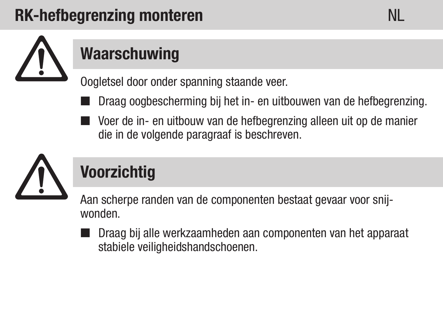## RK-hefbegrenzing monteren NL



## **Waarschuwing**

Oogletsel door onder spanning staande veer.

- Draag oogbescherming bij het in- en uitbouwen van de hefbegrenzing.
- Voer de in- en uitbouw van de hefbegrenzing alleen uit op de manier die in de volgende paragraaf is beschreven.



## Voorzichtig

Aan scherpe randen van de componenten bestaat gevaar voor snijwonden.

 Draag bij alle werkzaamheden aan componenten van het apparaat stabiele veiligheidshandschoenen.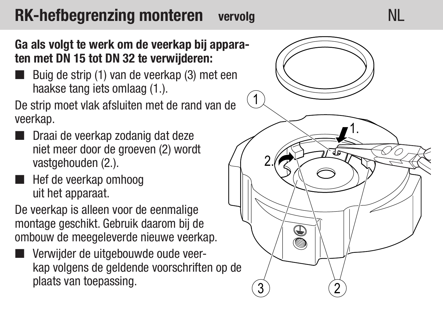#### RK-hefbegrenzing monteren vervolg **NL**

#### Ga als volgt te werk om de veerkap bij appara ten met DN 15 tot DN 32 te verwijderen:

Buig de strip (1) van de veerkap (3) met een haakse tang iets omlaag (1.).

De strip moet vlak afsluiten met de rand van de veerkap.

- **Draai de veerkap zodanig dat deze** niet meer door de groeven (2) wordt vastgehouden (2.).
- Hef de veerkap omhoog uit het apparaat.

De veerkap is alleen voor de eenmalige montage geschikt. Gebruik daarom bij de ombouw de meegeleverde nieuwe veerkap.

 Verwijder de uitgebouwde oude veerkap volgens de geldende voorschriften op de plaats van toepassing.

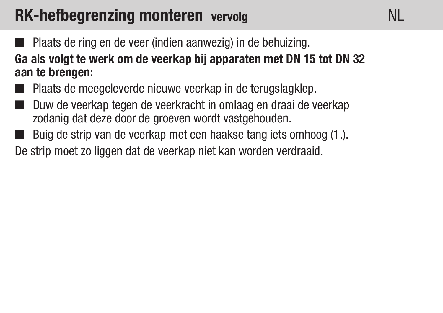### RK-hefbegrenzing monteren vervolg

- **Plaats de ring en de veer (indien aanwezig) in de behuizing.** Ga als volgt te werk om de veerkap bij apparaten met DN 15 tot DN 32
- aan te brengen:
- **Plaats de meegeleverde nieuwe veerkap in de terugslagklep.**
- Duw de veerkap tegen de veerkracht in omlaag en draai de veerkap zodanig dat deze door de groeven wordt vastgehouden.
- Buig de strip van de veerkap met een haakse tang iets omhoog (1.).

De strip moet zo liggen dat de veerkap niet kan worden verdraaid.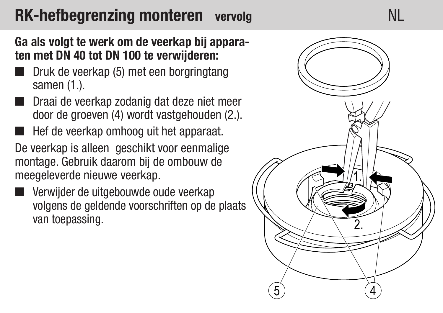## RK-hefbegrenzing monteren vervolg NL

#### Ga als volgt te werk om de veerkap bij apparaten met DN 40 tot DN 100 te verwijderen:

- Druk de veerkap (5) met een borgringtang samen (1.).
- Draai de veerkap zodanig dat deze niet meer door de groeven (4) wordt vastgehouden (2.).
- Hef de veerkap omhoog uit het apparaat.

De veerkap is alleen geschikt voor eenmalige montage. Gebruik daarom bij de ombouw de meegeleverde nieuwe veerkap.

 Verwijder de uitgebouwde oude veerkap volgens de geldende voorschriften op de plaats van toepassing.

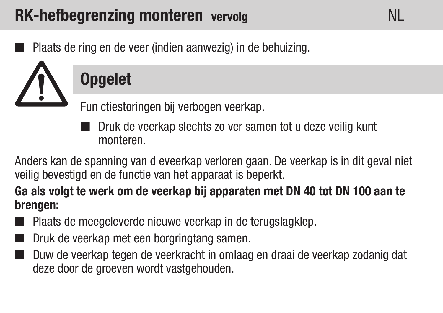### RK-hefbegrenzing monteren vervolg

Plaats de ring en de veer (indien aanwezig) in de behuizing.



## **Opgelet**

Fun ctiestoringen bij verbogen veerkap.

■ Druk de veerkap slechts zo ver samen tot u deze veilig kunt monteren.

NL

Anders kan de spanning van d eveerkap verloren gaan. De veerkap is in dit geval niet veilig bevestigd en de functie van het apparaat is beperkt.

Ga als volgt te werk om de veerkap bij apparaten met DN 40 tot DN 100 aan te brengen:

- **Plaats de meegeleverde nieuwe veerkap in de terugslagklep.**
- Druk de veerkap met een borgringtang samen.
- Duw de veerkap tegen de veerkracht in omlaag en draai de veerkap zodanig dat deze door de groeven wordt vastgehouden.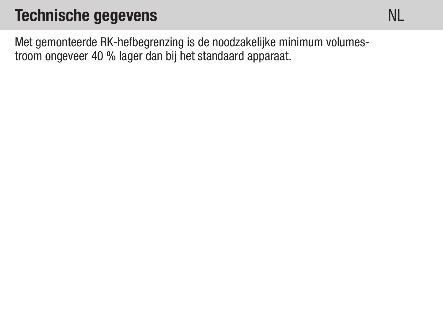### Technische gegevens

NL

Met gemonteerde RK-hefbegrenzing is de noodzakelijke minimum volumestroom ongeveer 40 % lager dan bij het standaard apparaat.